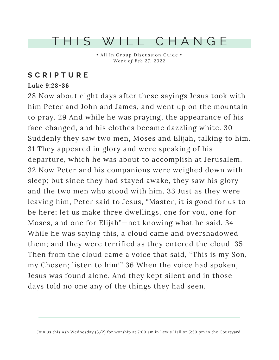## THIS WILL CHANGE

• All In Group Discussion Guide • *We e k o f F e b 2 7 , 202 2*

### **S C R I P T U R E**

#### **Luke 9:28-36**

28 Now about eight days after these sayings Jesus took with him Peter and John and James, and went up on the mountain to pray. 29 And while he was praying, the appearance of his face changed, and his clothes became dazzling white. 30 Suddenly they saw two men, Moses and Elijah, talking to him. 31 They appeared in glory and were speaking of his departure, which he was about to accomplish at Jerusalem. 32 Now Peter and his companions were weighed down with sleep; but since they had stayed awake, they saw his glory and the two men who stood with him. 33 Just as they were leaving him, Peter said to Jesus, "Master, it is good for us to be here; let us make three dwellings, one for you, one for Moses, and one for Elijah"—not knowing what he said. 34 While he was saying this, a cloud came and overshadowed them; and they were terrified as they entered the cloud. 35 Then from the cloud came a voice that said, "This is my Son, my Chosen; listen to him!" 36 When the voice had spoken, Jesus was found alone. And they kept silent and in those days told no one any of the things they had seen.